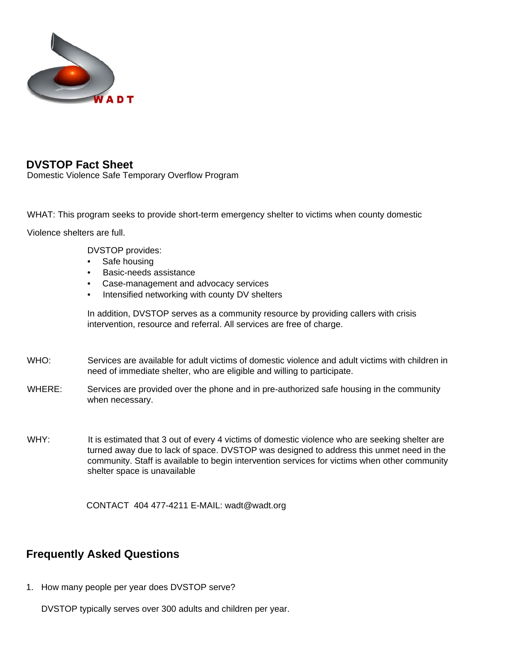

## **DVSTOP Fact Sheet**

Domestic Violence Safe Temporary Overflow Program

WHAT: This program seeks to provide short-term emergency shelter to victims when county domestic

Violence shelters are full.

DVSTOP provides:

- Safe housing
- Basic-needs assistance
- Case-management and advocacy services
- Intensified networking with county DV shelters

In addition, DVSTOP serves as a community resource by providing callers with crisis intervention, resource and referral. All services are free of charge.

- WHO: Services are available for adult victims of domestic violence and adult victims with children in need of immediate shelter, who are eligible and willing to participate.
- WHERE: Services are provided over the phone and in pre-authorized safe housing in the community when necessary.
- WHY: It is estimated that 3 out of every 4 victims of domestic violence who are seeking shelter are turned away due to lack of space. DVSTOP was designed to address this unmet need in the community. Staff is available to begin intervention services for victims when other community shelter space is unavailable

CONTACT 404 477-4211 E-MAIL: wadt@wadt.org

## **Frequently Asked Questions**

1. How many people per year does DVSTOP serve?

DVSTOP typically serves over 300 adults and children per year.